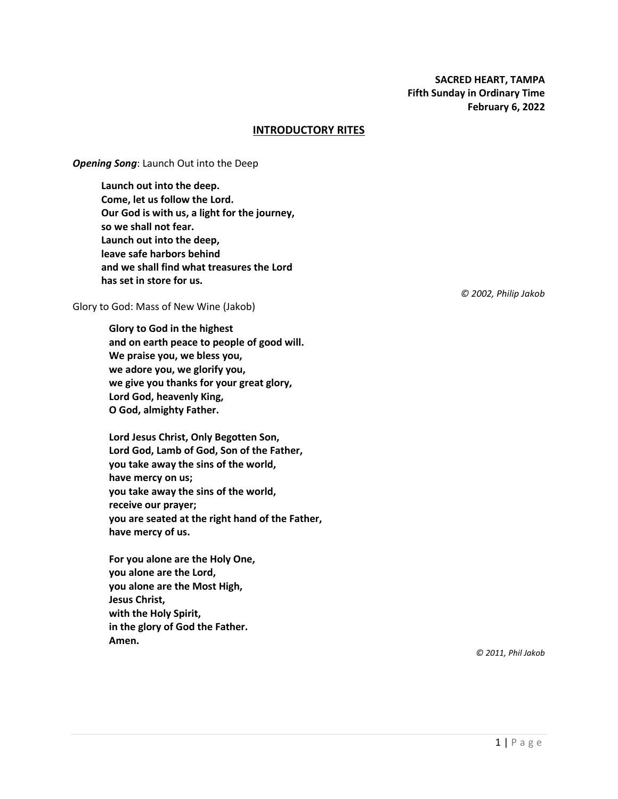## **INTRODUCTORY RITES**

*Opening Song*: Launch Out into the Deep

**Launch out into the deep. Come, let us follow the Lord. Our God is with us, a light for the journey, so we shall not fear. Launch out into the deep, leave safe harbors behind and we shall find what treasures the Lord has set in store for us.**

Glory to God: Mass of New Wine (Jakob)

**Glory to God in the highest and on earth peace to people of good will. We praise you, we bless you, we adore you, we glorify you, we give you thanks for your great glory, Lord God, heavenly King, O God, almighty Father.**

**Lord Jesus Christ, Only Begotten Son, Lord God, Lamb of God, Son of the Father, you take away the sins of the world, have mercy on us; you take away the sins of the world, receive our prayer; you are seated at the right hand of the Father, have mercy of us.**

**For you alone are the Holy One, you alone are the Lord, you alone are the Most High, Jesus Christ, with the Holy Spirit, in the glory of God the Father. Amen.**

*© 2002, Philip Jakob*

*© 2011, Phil Jakob*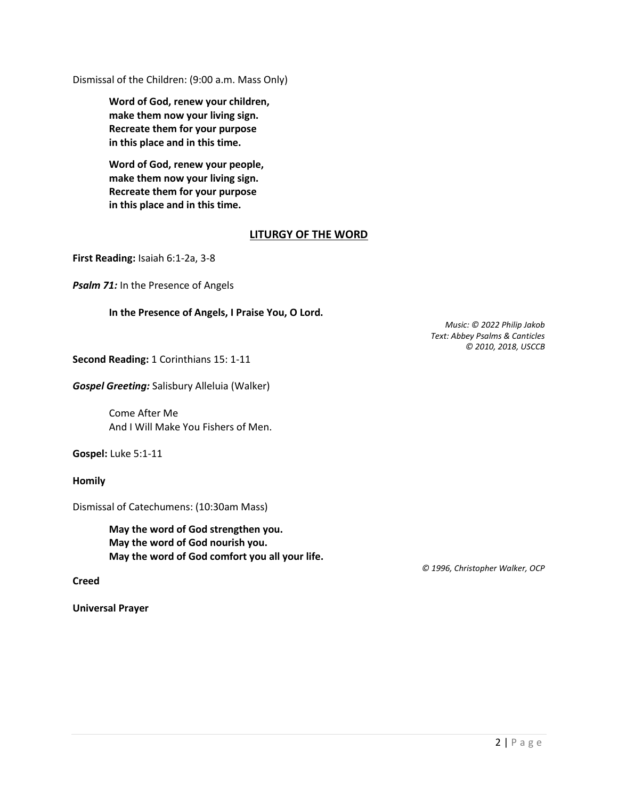Dismissal of the Children: (9:00 a.m. Mass Only)

**Word of God, renew your children, make them now your living sign. Recreate them for your purpose in this place and in this time.**

**Word of God, renew your people, make them now your living sign. Recreate them for your purpose in this place and in this time.**

# **LITURGY OF THE WORD**

**First Reading:** Isaiah 6:1-2a, 3-8

**Psalm 71:** In the Presence of Angels

## **In the Presence of Angels, I Praise You, O Lord.**

*Music: © 2022 Philip Jakob Text: Abbey Psalms & Canticles © 2010, 2018, USCCB*

**Second Reading:** 1 Corinthians 15: 1-11

*Gospel Greeting:* Salisbury Alleluia (Walker)

Come After Me And I Will Make You Fishers of Men.

**Gospel:** Luke 5:1-11

**Homily**

Dismissal of Catechumens: (10:30am Mass)

**May the word of God strengthen you. May the word of God nourish you. May the word of God comfort you all your life.**

**Creed**

**Universal Prayer**

 *© 1996, Christopher Walker, OCP*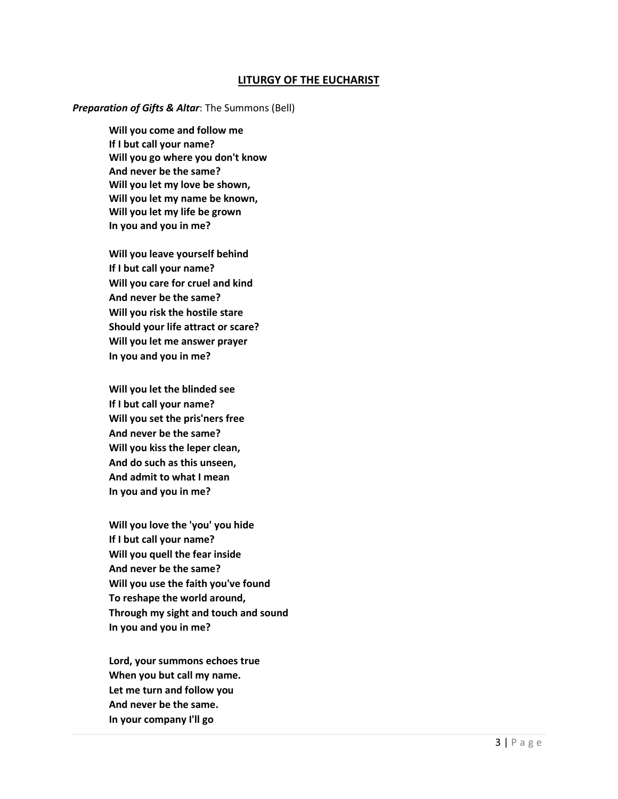## **LITURGY OF THE EUCHARIST**

#### *Preparation of Gifts & Altar*: The Summons (Bell)

**Will you come and follow me If I but call your name? Will you go where you don't know And never be the same? Will you let my love be shown, Will you let my name be known, Will you let my life be grown In you and you in me?** 

**Will you leave yourself behind If I but call your name? Will you care for cruel and kind And never be the same? Will you risk the hostile stare Should your life attract or scare? Will you let me answer prayer In you and you in me?** 

**Will you let the blinded see If I but call your name? Will you set the pris'ners free And never be the same? Will you kiss the leper clean, And do such as this unseen, And admit to what I mean In you and you in me?** 

**Will you love the 'you' you hide If I but call your name? Will you quell the fear inside And never be the same? Will you use the faith you've found To reshape the world around, Through my sight and touch and sound In you and you in me?** 

**Lord, your summons echoes true When you but call my name. Let me turn and follow you And never be the same. In your company I'll go**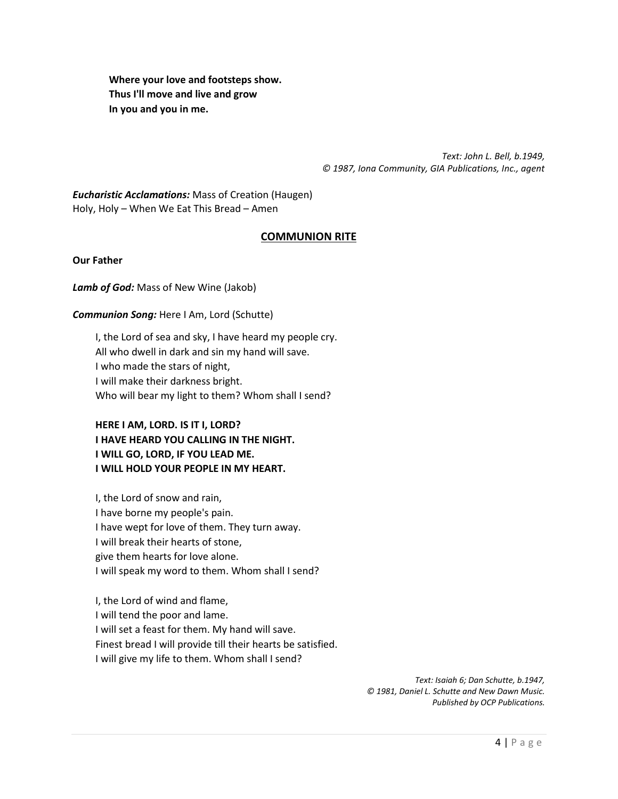**Where your love and footsteps show. Thus I'll move and live and grow In you and you in me.** 

> *Text: John L. Bell, b.1949, © 1987, Iona Community, GIA Publications, Inc., agent*

*Eucharistic Acclamations:* Mass of Creation (Haugen) Holy, Holy – When We Eat This Bread – Amen

# **COMMUNION RITE**

**Our Father**

*Lamb of God:* Mass of New Wine (Jakob)

#### *Communion Song:* Here I Am, Lord (Schutte)

I, the Lord of sea and sky, I have heard my people cry. All who dwell in dark and sin my hand will save. I who made the stars of night, I will make their darkness bright. Who will bear my light to them? Whom shall I send?

# **HERE I AM, LORD. IS IT I, LORD? I HAVE HEARD YOU CALLING IN THE NIGHT. I WILL GO, LORD, IF YOU LEAD ME. I WILL HOLD YOUR PEOPLE IN MY HEART.**

I, the Lord of snow and rain, I have borne my people's pain. I have wept for love of them. They turn away. I will break their hearts of stone, give them hearts for love alone. I will speak my word to them. Whom shall I send?

I, the Lord of wind and flame, I will tend the poor and lame. I will set a feast for them. My hand will save. Finest bread I will provide till their hearts be satisfied. I will give my life to them. Whom shall I send?

> *Text: Isaiah 6; Dan Schutte, b.1947, © 1981, Daniel L. Schutte and New Dawn Music. Published by OCP Publications.*